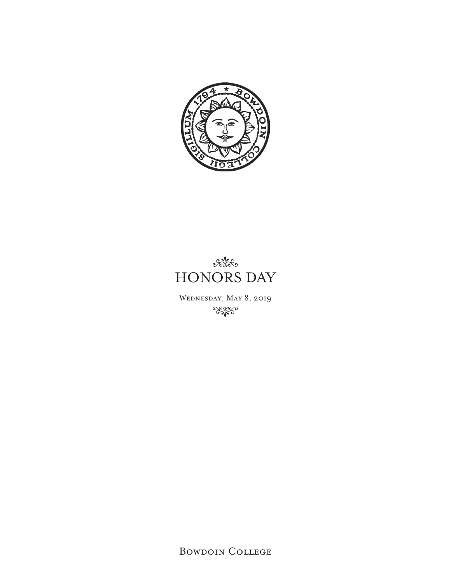



Wednesday, May 8, 2019 **Regge** 

Bowdoin College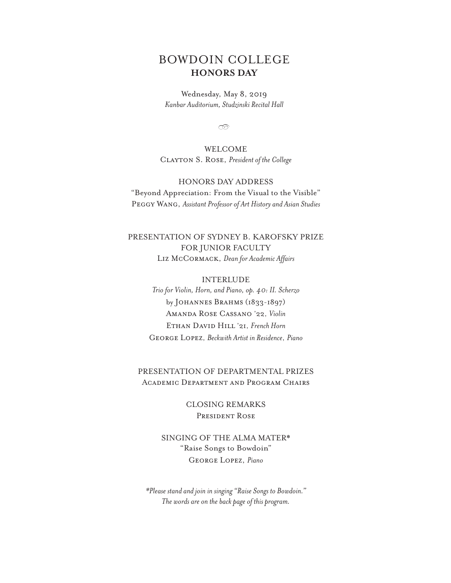## BOWDOIN COLLEGE **HONORS DAY**

Wednesday, May 8, 2019 *Kanbar Auditorium, Studzinski Recital Hall*

 $\infty$ 

WELCOME Clayton S. Rose, *President of the College*

## HONORS DAY ADDRESS

"Beyond Appreciation: From the Visual to the Visible" Peggy Wang, *Assistant Professor of Art History and Asian Studies*

## PRESENTATION OF SYDNEY B. KAROFSKY PRIZE FOR JUNIOR FACULTY Liz McCormack, *Dean for Academic Affairs*

## INTERLUDE *Trio for Violin, Horn, and Piano, op. 40: II. Scherzo* by Johannes Brahms (1833-1897)

Amanda Rose Cassano '22, *Violin* Ethan David Hill '21, *French Horn* George Lopez, *Beckwith Artist in Residence*, *Piano*

## PRESENTATION OF DEPARTMENTAL PRIZES Academic Department and Program Chairs

CLOSING REMARKS President Rose

SINGING OF THE ALMA MATER\* "Raise Songs to Bowdoin" George Lopez, *Piano*

*\*Please stand and join in singing "Raise Songs to Bowdoin." The words are on the back page of this program.*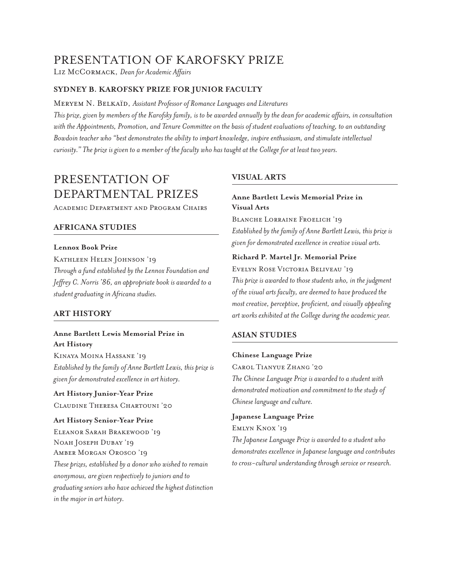# PRESENTATION OF KAROFSKY PRIZE

Liz McCormack, *Dean for Academic Affairs*

## **SYDNEY B. KAROFSKY PRIZE FOR JUNIOR FACULTY**

Meryem N. Belkaïd, *Assistant Professor of Romance Languages and Literatures*

*This prize, given by members of the Karofsky family, is to be awarded annually by the dean for academic affairs, in consultation with the Appointments, Promotion, and Tenure Committee on the basis of student evaluations of teaching, to an outstanding Bowdoin teacher who "best demonstrates the ability to impart knowledge, inspire enthusiasm, and stimulate intellectual curiosity." The prize is given to a member of the faculty who has taught at the College for at least two years.* 

# PRESENTATION OF DEPARTMENTAL PRIZES

Academic Department and Program Chairs

## **AFRICANA STUDIES**

## **Lennox Book Prize**

KATHLEEN HELEN JOHNSON '19 *Through a fund established by the Lennox Foundation and Jeffrey C. Norris '86, an appropriate book is awarded to a student graduating in Africana studies.*

## **ART HISTORY**

## **Anne Bartlett Lewis Memorial Prize in Art History**

Kinaya Moina Hassane '19 *Established by the family of Anne Bartlett Lewis, this prize is given for demonstrated excellence in art history.*

**Art History Junior-Year Prize**  Claudine Theresa Chartouni '20

#### **Art History Senior-Year Prize**

Eleanor Sarah Brakewood '19 Noah Joseph Dubay '19 Amber Morgan Orosco '19 *These prizes, established by a donor who wished to remain anonymous, are given respectively to juniors and to graduating seniors who have achieved the highest distinction in the major in art history.*

## **VISUAL ARTS**

## **Anne Bartlett Lewis Memorial Prize in Visual Arts**

Blanche Lorraine Froelich '19 *Established by the family of Anne Bartlett Lewis, this prize is given for demonstrated excellence in creative visual arts.* 

#### **Richard P. Martel Jr. Memorial Prize**

Evelyn Rose Victoria Beliveau '19 *This prize is awarded to those students who, in the judgment of the visual arts faculty, are deemed to have produced the most creative, perceptive, proficient, and visually appealing art works exhibited at the College during the academic year.* 

## **ASIAN STUDIES**

#### **Chinese Language Prize**

Carol Tianyue Zhang '20

*The Chinese Language Prize is awarded to a student with demonstrated motivation and commitment to the study of Chinese language and culture.*

#### **Japanese Language Prize**

Emlyn Knox '19

*The Japanese Language Prize is awarded to a student who demonstrates excellence in Japanese language and contributes to cross-cultural understanding through service or research.*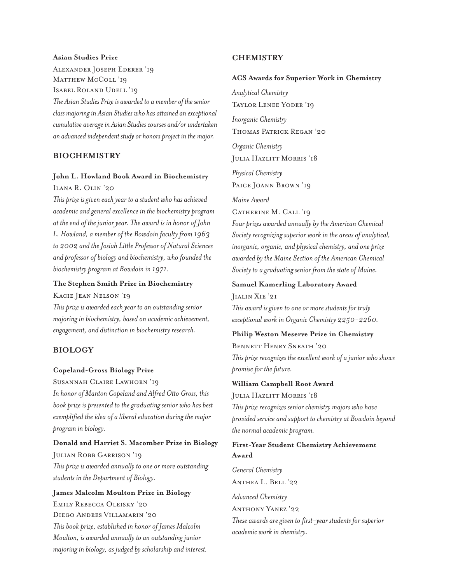## **Asian Studies Prize**

Alexander Joseph Ederer '19 MATTHEW MCCOLL '19 Isabel Roland Udell '19

*The Asian Studies Prize is awarded to a member of the senior class majoring in Asian Studies who has attained an exceptional cumulative average in Asian Studies courses and/or undertaken an advanced independent study or honors project in the major.*

## **BIOCHEMISTRY**

## **John L. Howland Book Award in Biochemistry**

Ilana R. Olin '20

*This prize is given each year to a student who has achieved academic and general excellence in the biochemistry program at the end of the junior year. The award is in honor of John L. Howland, a member of the Bowdoin faculty from 1963 to 2002 and the Josiah Little Professor of Natural Sciences and professor of biology and biochemistry, who founded the biochemistry program at Bowdoin in 1971.*

## **The Stephen Smith Prize in Biochemistry**

Kacie Jean Nelson '19

*This prize is awarded each year to an outstanding senior majoring in biochemistry, based on academic achievement, engagement, and distinction in biochemistry research.*

## **BIOLOGY**

#### **Copeland-Gross Biology Prize**

Susannah Claire Lawhorn '19

*In honor of Manton Copeland and Alfred Otto Gross, this book prize is presented to the graduating senior who has best exemplified the idea of a liberal education during the major program in biology.*

## **Donald and Harriet S. Macomber Prize in Biology**  JULIAN ROBB GARRISON '19

*This prize is awarded annually to one or more outstanding students in the Department of Biology.*

## **James Malcolm Moulton Prize in Biology**

Emily Rebecca Oleisky '20 Diego Andres Villamarin '20 *This book prize, established in honor of James Malcolm Moulton, is awarded annually to an outstanding junior majoring in biology, as judged by scholarship and interest.*

## **CHEMISTRY**

#### **ACS Awards for Superior Work in Chemistry**

*Analytical Chemistry*  Taylor Lenee Yoder '19

*Inorganic Chemistry*  Thomas Patrick Regan '20

*Organic Chemistry*  JULIA HAZLITT MORRIS 'I8

*Physical Chemistry*  PAIGE JOANN BROWN '19

*Maine Award* 

Catherine M. Call '19

*Four prizes awarded annually by the American Chemical Society recognizing superior work in the areas of analytical, inorganic, organic, and physical chemistry, and one prize awarded by the Maine Section of the American Chemical Society to a graduating senior from the state of Maine.*

#### **Samuel Kamerling Laboratory Award**

Jialin Xie '21

*This award is given to one or more students for truly exceptional work in Organic Chemistry 2250-2260.* 

## **Philip Weston Meserve Prize in Chemistry**

Bennett Henry Sneath '20 *This prize recognizes the excellent work of a junior who shows* 

*promise for the future.*

## **William Campbell Root Award**

JULIA HAZLITT MORRIS '18

*This prize recognizes senior chemistry majors who have provided service and support to chemistry at Bowdoin beyond the normal academic program.*

## **First-Year Student Chemistry Achievement Award**

*General Chemistry*  ANTHEA L. BELL '22 *Advanced Chemistry* ANTHONY YANEZ '22 *These awards are given to first-year students for superior academic work in chemistry.*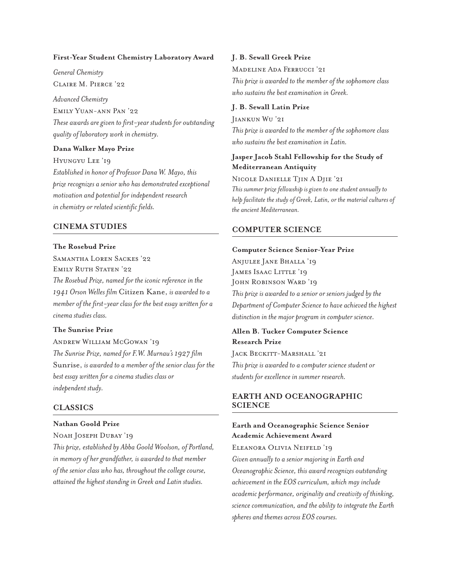#### **First-Year Student Chemistry Laboratory Award**

*General Chemistry* Claire M. Pierce '22

*Advanced Chemistry*  Emily Yuan-ann Pan '22 *These awards are given to first-year students for outstanding quality of laboratory work in chemistry.* 

#### **Dana Walker Mayo Prize**

Hyungyu Lee '19 *Established in honor of Professor Dana W. Mayo, this prize recognizes a senior who has demonstrated exceptional motivation and potential for independent research in chemistry or related scientific fields.* 

## **CINEMA STUDIES**

#### **The Rosebud Prize**

Samantha Loren Sackes '22 EMILY RUTH STATEN '22 *The Rosebud Prize, named for the iconic reference in the 1941 Orson Welles film* Citizen Kane, *is awarded to a member of the first-year class for the best essay written for a cinema studies class.*

### **The Sunrise Prize**

Andrew William McGowan '19 *The Sunrise Prize, named for F.W. Murnau's 1927 film*  Sunrise, *is awarded to a member of the senior class for the best essay written for a cinema studies class or independent study.* 

#### **CLASSICS**

## **Nathan Goold Prize**

#### Noah Joseph Dubay '19

*This prize, established by Abba Goold Woolson, of Portland, in memory of her grandfather, is awarded to that member of the senior class who has, throughout the college course, attained the highest standing in Greek and Latin studies.* 

#### **J. B. Sewall Greek Prize**

Madeline Ada Ferrucci '21 *This prize is awarded to the member of the sophomore class who sustains the best examination in Greek.* 

#### **J. B. Sewall Latin Prize**

Jiankun Wu '21 *This prize is awarded to the member of the sophomore class who sustains the best examination in Latin.*

## **Jasper Jacob Stahl Fellowship for the Study of Mediterranean Antiquity**

Nicole Danielle Tjin A Djie '21 *This summer prize fellowship is given to one student annually to help facilitate the study of Greek, Latin, or the material cultures of the ancient Mediterranean.*

## **COMPUTER SCIENCE**

#### **Computer Science Senior-Year Prize**

Anjulee Jane Bhalla '19 JAMES ISAAC LITTLE '19 John Robinson Ward '19 *This prize is awarded to a senior or seniors judged by the Department of Computer Science to have achieved the highest distinction in the major program in computer science.* 

**Allen B. Tucker Computer Science Research Prize** 

JACK BECKITT-MARSHALL '21 *This prize is awarded to a computer science student or students for excellence in summer research.* 

## **EARTH AND OCEANOGRAPHIC SCIENCE**

## **Earth and Oceanographic Science Senior Academic Achievement Award**

## Eleanora Olivia Neifeld '19

*Given annually to a senior majoring in Earth and Oceanographic Science, this award recognizes outstanding achievement in the EOS curriculum, which may include academic performance, originality and creativity of thinking, science communication, and the ability to integrate the Earth spheres and themes across EOS courses.*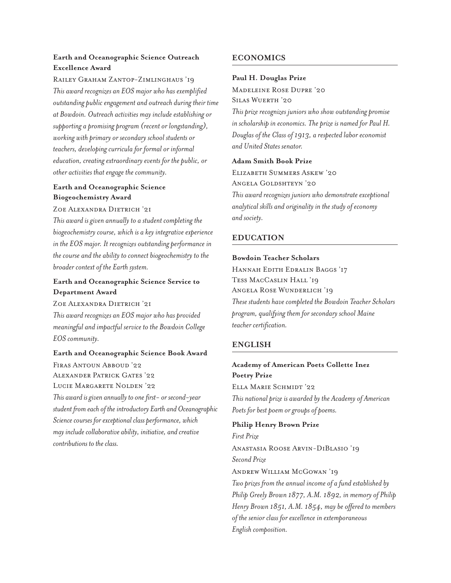## **Earth and Oceanographic Science Outreach Excellence Award**

Railey Graham Zantop-Zimlinghaus '19

*This award recognizes an EOS major who has exemplified outstanding public engagement and outreach during their time at Bowdoin. Outreach activities may include establishing or supporting a promising program (recent or longstanding), working with primary or secondary school students or teachers, developing curricula for formal or informal education, creating extraordinary events for the public, or other activities that engage the community.*

## **Earth and Oceanographic Science Biogeochemistry Award**

## Zoe Alexandra Dietrich '21

*This award is given annually to a student completing the biogeochemistry course, which is a key integrative experience in the EOS major. It recognizes outstanding performance in the course and the ability to connect biogeochemistry to the broader context of the Earth system.* 

## **Earth and Oceanographic Science Service to Department Award**

Zoe Alexandra Dietrich '21 *This award recognizes an EOS major who has provided meaningful and impactful service to the Bowdoin College EOS community.* 

**Earth and Oceanographic Science Book Award**  Firas Antoun Abboud '22 Alexander Patrick Gates '22 LUCIE MARGARETE NOLDEN '22

*This award is given annually to one first- or second-year student from each of the introductory Earth and Oceanographic Science courses for exceptional class performance, which may include collaborative ability, initiative, and creative contributions to the class.*

## **ECONOMICS**

## **Paul H. Douglas Prize**

Madeleine Rose Dupre '20 Silas Wuerth '20

*This prize recognizes juniors who show outstanding promise in scholarship in economics. The prize is named for Paul H. Douglas of the Class of 1913, a respected labor economist and United States senator.* 

## **Adam Smith Book Prize**

Elizabeth Summers Askew '20 Angela Goldshteyn '20 *This award recognizes juniors who demonstrate exceptional analytical skills and originality in the study of economy and society.*

## **EDUCATION**

## **Bowdoin Teacher Scholars**

Hannah Edith Edralin Baggs '17 TESS MACCASLIN HALL '19 Angela Rose Wunderlich '19 *These students have completed the Bowdoin Teacher Scholars program, qualifying them for secondary school Maine teacher certification.* 

## **ENGLISH**

## **Academy of American Poets Collette Inez Poetry Prize**  Ella Marie Schmidt '22 *This national prize is awarded by the Academy of American Poets for best poem or groups of poems.*

## **Philip Henry Brown Prize**

*First Prize*  Anastasia Roose Arvin-DiBlasio '19 *Second Prize* Andrew William McGowan '19 *Two prizes from the annual income of a fund established by Philip Greely Brown 1877, A.M. 1892, in memory of Philip Henry Brown 1851, A.M. 1854, may be offered to members of the senior class for excellence in extemporaneous English composition.*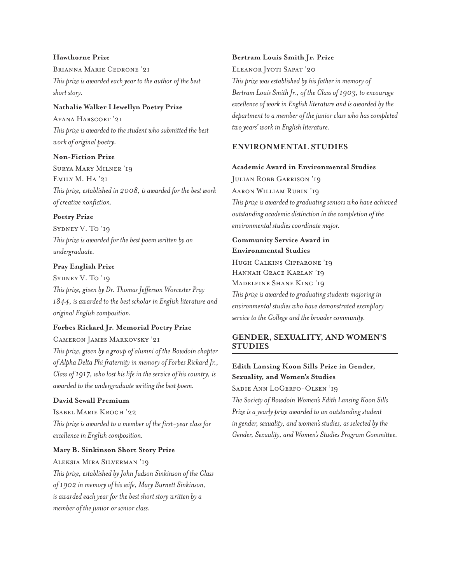## **Hawthorne Prize**

Brianna Marie Cedrone '21 *This prize is awarded each year to the author of the best short story.* 

## **Nathalie Walker Llewellyn Poetry Prize**

Ayana Harscoet '21 *This prize is awarded to the student who submitted the best work of original poetry.*

### **Non-Fiction Prize**

Surya Mary Milner '19 Emily M. Ha '21 *This prize, established in 2008, is awarded for the best work of creative nonfiction.* 

## **Poetry Prize**

SYDNEY V. To '19 *This prize is awarded for the best poem written by an undergraduate.* 

## **Pray English Prize**

SYDNEY V. To '19 *This prize, given by Dr. Thomas Jefferson Worcester Pray 1844, is awarded to the best scholar in English literature and original English composition.*

## **Forbes Rickard Jr. Memorial Poetry Prize**

### Cameron James Markovsky '21

*This prize, given by a group of alumni of the Bowdoin chapter of Alpha Delta Phi fraternity in memory of Forbes Rickard Jr., Class of 1917, who lost his life in the service of his country, is awarded to the undergraduate writing the best poem.* 

## **David Sewall Premium**

Isabel Marie Krogh '22 *This prize is awarded to a member of the first-year class for excellence in English composition.*

## **Mary B. Sinkinson Short Story Prize**

Aleksia Mira Silverman '19

*This prize, established by John Judson Sinkinson of the Class of 1902 in memory of his wife, Mary Burnett Sinkinson, is awarded each year for the best short story written by a member of the junior or senior class.* 

#### **Bertram Louis Smith Jr. Prize**

ELEANOR JYOTI SAPAT '20 *This prize was established by his father in memory of Bertram Louis Smith Jr., of the Class of 1903, to encourage excellence of work in English literature and is awarded by the department to a member of the junior class who has completed two years' work in English literature.*

## **ENVIRONMENTAL STUDIES**

#### **Academic Award in Environmental Studies**

Julian Robb Garrison '19 Aaron William Rubin '19 *This prize is awarded to graduating seniors who have achieved* 

*outstanding academic distinction in the completion of the environmental studies coordinate major.*

**Community Service Award in Environmental Studies**  Hugh Calkins Cipparone '19 Hannah Grace Karlan '19 Madeleine Shane King '19

*This prize is awarded to graduating students majoring in environmental studies who have demonstrated exemplary service to the College and the broader community.* 

## **GENDER, SEXUALITY, AND WOMEN'S STUDIES**

## **Edith Lansing Koon Sills Prize in Gender, Sexuality, and Women's Studies**

SADIE ANN LOGERFO-OLSEN '19

*The Society of Bowdoin Women's Edith Lansing Koon Sills Prize is a yearly prize awarded to an outstanding student in gender, sexuality, and women's studies, as selected by the Gender, Sexuality, and Women's Studies Program Committee.*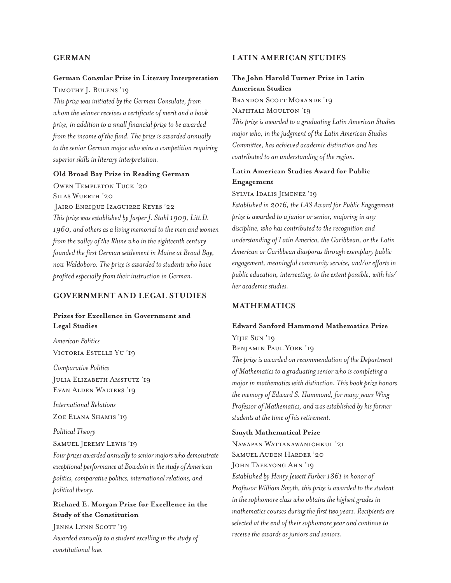## **GERMAN**

## **German Consular Prize in Literary Interpretation**

Timothy J. Bulens '19

*This prize was initiated by the German Consulate, from whom the winner receives a certificate of merit and a book prize, in addition to a small financial prize to be awarded from the income of the fund. The prize is awarded annually to the senior German major who wins a competition requiring superior skills in literary interpretation.*

## **Old Broad Bay Prize in Reading German**

Owen Templeton Tuck '20 Silas Wuerth '20 Jairo Enrique Izaguirre Reyes '22 *This prize was established by Jasper J. Stahl 1909, Litt.D. 1960, and others as a living memorial to the men and women from the valley of the Rhine who in the eighteenth century founded the first German settlement in Maine at Broad Bay, now Waldoboro. The prize is awarded to students who have profited especially from their instruction in German.* 

## **GOVERNMENT AND LEGAL STUDIES**

## **Prizes for Excellence in Government and Legal Studies**

*American Politics* Victoria Estelle Yu '19

*Comparative Politics* 

Julia Elizabeth Amstutz '19 Evan Alden Walters '19

*International Relations*  ZOE ELANA SHAMIS '19

## *Political Theory*

Samuel Jeremy Lewis '19

*Four prizes awarded annually to senior majors who demonstrate exceptional performance at Bowdoin in the study of American politics, comparative politics, international relations, and political theory.*

## **Richard E. Morgan Prize for Excellence in the Study of the Constitution**

JENNA LYNN SCOTT '19 *Awarded annually to a student excelling in the study of constitutional law.*

## **LATIN AMERICAN STUDIES**

## **The John Harold Turner Prize in Latin American Studies**

BRANDON SCOTT MORANDE '19 Naphtali Moulton '19

*This prize is awarded to a graduating Latin American Studies major who, in the judgment of the Latin American Studies Committee, has achieved academic distinction and has contributed to an understanding of the region.* 

## **Latin American Studies Award for Public Engagement**

Sylvia Idalis Jimenez '19

*Established in 2016, the LAS Award for Public Engagement prize is awarded to a junior or senior, majoring in any discipline, who has contributed to the recognition and understanding of Latin America, the Caribbean, or the Latin American or Caribbean diasporas through exemplary public engagement, meaningful community service, and/or efforts in public education, intersecting, to the extent possible, with his/ her academic studies.*

## **MATHEMATICS**

## **Edward Sanford Hammond Mathematics Prize**  Yijie Sun '19

Benjamin Paul York '19

*The prize is awarded on recommendation of the Department of Mathematics to a graduating senior who is completing a major in mathematics with distinction. This book prize honors the memory of Edward S. Hammond, for many years Wing Professor of Mathematics, and was established by his former students at the time of his retirement.*

## **Smyth Mathematical Prize**

Nawapan Wattanawanichkul '21 Samuel Auden Harder '20 John Taekyong Ahn '19 *Established by Henry Jewett Furber 1861 in honor of Professor William Smyth, this prize is awarded to the student in the sophomore class who obtains the highest grades in mathematics courses during the first two years. Recipients are selected at the end of their sophomore year and continue to receive the awards as juniors and seniors.*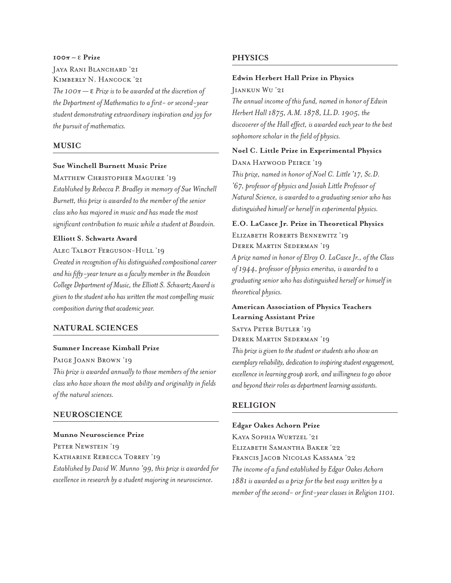## **100π –** ε **Prize**

JAYA RANI BLANCHARD '21 Kimberly N. Hancock '21 *The 100π —* e *Prize is to be awarded at the discretion of the Department of Mathematics to a first- or second-year student demonstrating extraordinary inspiration and joy for the pursuit of mathematics.* 

## **MUSIC**

## **Sue Winchell Burnett Music Prize**

Matthew Christopher Maguire '19 *Established by Rebecca P. Bradley in memory of Sue Winchell Burnett, this prize is awarded to the member of the senior class who has majored in music and has made the most significant contribution to music while a student at Bowdoin.*

#### **Elliott S. Schwartz Award**

## ALEC TALBOT FERGUSON-HULL '19

*Created in recognition of his distinguished compositional career and his fifty-year tenure as a faculty member in the Bowdoin College Department of Music, the Elliott S. Schwartz Award is given to the student who has written the most compelling music composition during that academic year.*

## **NATURAL SCIENCES**

## **Sumner Increase Kimball Prize**

PAIGE JOANN BROWN '19

*This prize is awarded annually to those members of the senior class who have shown the most ability and originality in fields of the natural sciences.* 

## **NEUROSCIENCE**

#### **Munno Neuroscience Prize**

PETER NEWSTEIN '19 Katharine Rebecca Torrey '19 *Established by David W. Munno '99, this prize is awarded for excellence in research by a student majoring in neuroscience.* 

## **PHYSICS**

#### **Edwin Herbert Hall Prize in Physics**

Jiankun Wu '21

*The annual income of this fund, named in honor of Edwin Herbert Hall 1875, A.M. 1878, LL.D. 1905, the discoverer of the Hall effect, is awarded each year to the best sophomore scholar in the field of physics.* 

## **Noel C. Little Prize in Experimental Physics**

Dana Haywood Peirce '19 *This prize, named in honor of Noel C. Little '17, Sc.D. '67, professor of physics and Josiah Little Professor of Natural Science, is awarded to a graduating senior who has distinguished himself or herself in experimental physics.*

**E.O. LaCasce Jr. Prize in Theoretical Physics** 

Elizabeth Roberts Bennewitz '19 Derek Martin Sederman '19 *A prize named in honor of Elroy O. LaCasce Jr., of the Class of 1944, professor of physics emeritus, is awarded to a graduating senior who has distinguished herself or himself in theoretical physics.* 

## **American Association of Physics Teachers Learning Assistant Prize**

Satya Peter Butler '19 Derek Martin Sederman '19 *This prize is given to the student or students who show an exemplary reliability, dedication to inspiring student engagement, excellence in learning group work, and willingness to go above and beyond their roles as department learning assistants.*

#### **RELIGION**

#### **Edgar Oakes Achorn Prize**

Kaya Sophia Wurtzel '21 Elizabeth Samantha Baker '22 Francis Jacob Nicolas Kassama '22 *The income of a fund established by Edgar Oakes Achorn 1881 is awarded as a prize for the best essay written by a member of the second- or first-year classes in Religion 1101.*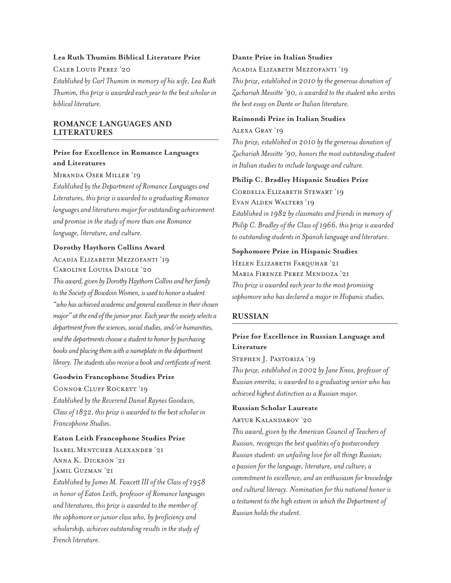## **Lea Ruth Thumim Biblical Literature Prize**

Caleb Louis Perez '20

*Established by Carl Thumim in memory of his wife, Lea Ruth Thumim, this prize is awarded each year to the best scholar in biblical literature.*

## **ROMANCE LANGUAGES AND LITERATURES**

## **Prize for Excellence in Romance Languages and Literatures**

Miranda Oser Miller '19

*Established by the Department of Romance Languages and Literatures, this prize is awarded to a graduating Romance languages and literatures major for outstanding achievement and promise in the study of more than one Romance language, literature, and culture.* 

### **Dorothy Haythorn Collins Award**

## Acadia Elizabeth Mezzofanti '19 Caroline Louisa Daigle '20

*This award, given by Dorothy Haythorn Collins and her family to the Society of Bowdoin Women, is used to honor a student "who has achieved academic and general excellence in their chosen major" at the end of the junior year. Each year the society selects a department from the sciences, social studies, and/or humanities, and the departments choose a student to honor by purchasing books and placing them with a nameplate in the department library. The students also receive a book and certificate of merit.*

## **Goodwin Francophone Studies Prize**

CONNOR CLUFF ROCKETT '19

*Established by the Reverend Daniel Raynes Goodwin, Class of 1832, this prize is awarded to the best scholar in Francophone Studies.*

#### **Eaton Leith Francophone Studies Prize**

Isabel Mentcher Alexander '21 Anna K. Dickson '21 Jamil Guzman '21

*Established by James M. Fawcett III of the Class of 1958 in honor of Eaton Leith, professor of Romance languages and literatures, this prize is awarded to the member of the sophomore or junior class who, by proficiency and scholarship, achieves outstanding results in the study of French literature.*

## **Dante Prize in Italian Studies**

#### Acadia Elizabeth Mezzofanti '19

*This prize, established in 2010 by the generous donation of Zachariah Messitte '90, is awarded to the student who writes the best essay on Dante or Italian literature.*

### **Raimondi Prize in Italian Studies**

## Alexa Gray '19

*This prize, established in 2010 by the generous donation of Zachariah Messitte '90, honors the most outstanding student in Italian studies to include language and culture.*

#### **Philip C. Bradley Hispanic Studies Prize**

Cordelia Elizabeth Stewart '19 Evan Alden Walters '19

*Established in 1982 by classmates and friends in memory of Philip C. Bradley of the Class of 1966, this prize is awarded to outstanding students in Spanish language and literature.*

## **Sophomore Prize in Hispanic Studies**

HELEN ELIZABETH FARQUHAR '21 Maria Firenze Perez Mendoza '21 *This prize is awarded each year to the most promising sophomore who has declared a major in Hispanic studies.*

## **RUSSIAN**

## **Prize for Excellence in Russian Language and Literature**

Stephen J. Pastoriza '19

*This prize, established in 2002 by Jane Knox, professor of Russian emerita, is awarded to a graduating senior who has achieved highest distinction as a Russian major.* 

## **Russian Scholar Laureate**

#### Artur Kalandarov '20

*This award, given by the American Council of Teachers of Russian, recognizes the best qualities of a postsecondary Russian student: an unfailing love for all things Russian; a passion for the language, literature, and culture; a commitment to excellence; and an enthusiasm for knowledge and cultural literacy. Nomination for this national honor is a testament to the high esteem in which the Department of Russian holds the student.*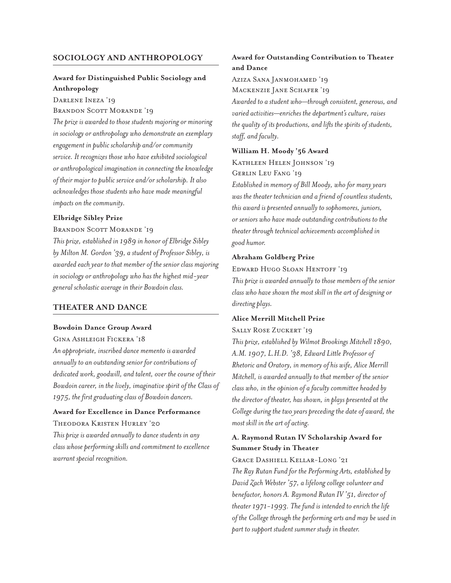## **SOCIOLOGY AND ANTHROPOLOGY**

## **Award for Distinguished Public Sociology and Anthropology**

DARLENE INEZA '19

BRANDON SCOTT MORANDE '19

*The prize is awarded to those students majoring or minoring in sociology or anthropology who demonstrate an exemplary engagement in public scholarship and/or community service. It recognizes those who have exhibited sociological or anthropological imagination in connecting the knowledge of their major to public service and/or scholarship. It also acknowledges those students who have made meaningful impacts on the community.*

## **Elbridge Sibley Prize**

### BRANDON SCOTT MORANDE '19

*This prize, established in 1989 in honor of Elbridge Sibley by Milton M. Gordon '39, a student of Professor Sibley, is awarded each year to that member of the senior class majoring in sociology or anthropology who has the highest mid-year general scholastic average in their Bowdoin class.*

## **THEATER AND DANCE**

#### **Bowdoin Dance Group Award**

#### Gina Ashleigh Fickera '18

*An appropriate, inscribed dance memento is awarded annually to an outstanding senior for contributions of dedicated work, goodwill, and talent, over the course of their Bowdoin career, in the lively, imaginative spirit of the Class of 1975, the first graduating class of Bowdoin dancers.* 

## **Award for Excellence in Dance Performance**  Theodora Kristen Hurley '20

*This prize is awarded annually to dance students in any class whose performing skills and commitment to excellence warrant special recognition.* 

## **Award for Outstanding Contribution to Theater and Dance**

Aziza Sana Janmohamed '19 MACKENZIE JANE SCHAFER '19

*Awarded to a student who—through consistent, generous, and varied activities—enriches the department's culture, raises the quality of its productions, and lifts the spirits of students, staff, and faculty.* 

#### **William H. Moody '56 Award**

Kathleen Helen Johnson '19 Gerlin Leu Fang '19

*Established in memory of Bill Moody, who for many years was the theater technician and a friend of countless students, this award is presented annually to sophomores, juniors, or seniors who have made outstanding contributions to the theater through technical achievements accomplished in good humor.*

#### **Abraham Goldberg Prize**

#### Edward Hugo Sloan Hentoff '19

*This prize is awarded annually to those members of the senior class who have shown the most skill in the art of designing or directing plays.*

#### **Alice Merrill Mitchell Prize**

#### Sally Rose Zuckert '19

*This prize, established by Wilmot Brookings Mitchell 1890, A.M. 1907, L.H.D. '38, Edward Little Professor of Rhetoric and Oratory, in memory of his wife, Alice Merrill Mitchell, is awarded annually to that member of the senior class who, in the opinion of a faculty committee headed by the director of theater, has shown, in plays presented at the College during the two years preceding the date of award, the most skill in the art of acting.*

## **A. Raymond Rutan IV Scholarship Award for Summer Study in Theater**

Grace Dashiell Kellar-Long '21 *The Ray Rutan Fund for the Performing Arts, established by David Zach Webster '57, a lifelong college volunteer and benefactor, honors A. Raymond Rutan IV '51, director of theater 1971-1993. The fund is intended to enrich the life of the College through the performing arts and may be used in part to support student summer study in theater.*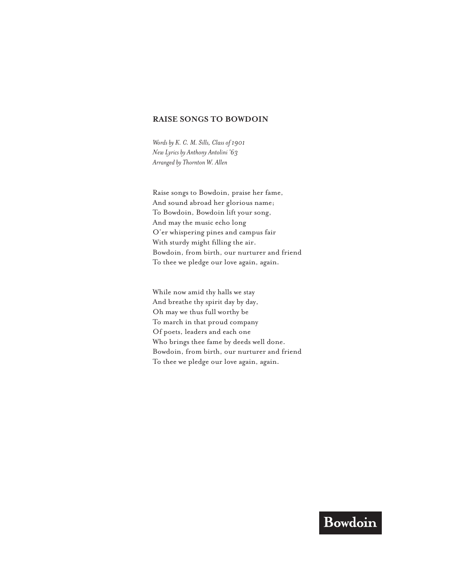## **RAISE SONGS TO BOWDOIN**

*Words by K. C. M. Sills, Class of 1901 New Lyrics by Anthony Antolini '63 Arranged by Thornton W. Allen* 

Raise songs to Bowdoin, praise her fame, And sound abroad her glorious name; To Bowdoin, Bowdoin lift your song, And may the music echo long O'er whispering pines and campus fair With sturdy might filling the air. Bowdoin, from birth, our nurturer and friend To thee we pledge our love again, again.

While now amid thy halls we stay And breathe thy spirit day by day, Oh may we thus full worthy be To march in that proud company Of poets, leaders and each one Who brings thee fame by deeds well done. Bowdoin, from birth, our nurturer and friend To thee we pledge our love again, again.